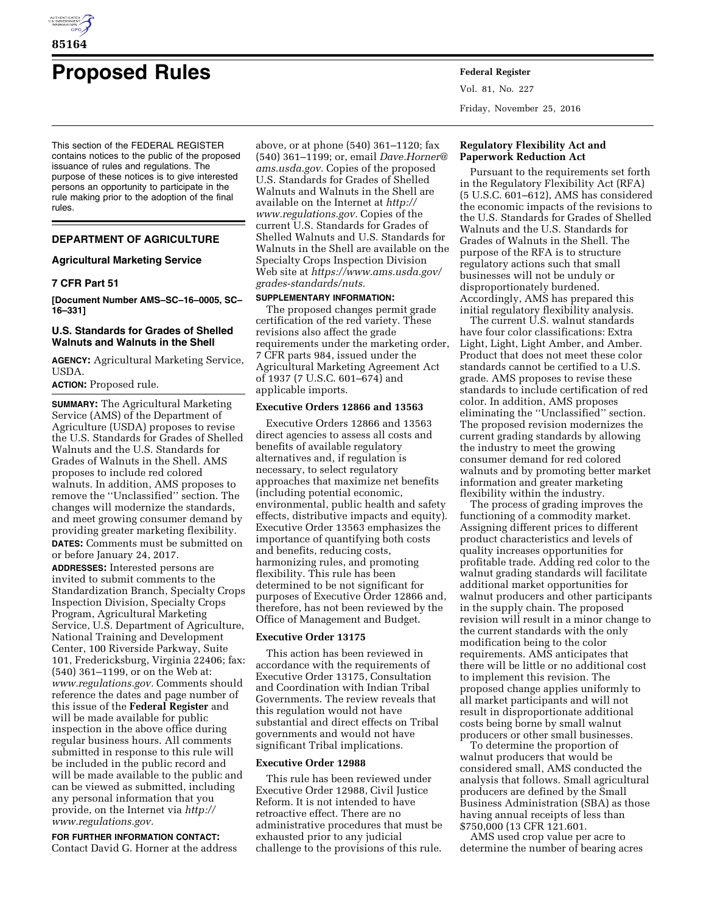

# **Proposed Rules Federal Register**

This section of the FEDERAL REGISTER contains notices to the public of the proposed issuance of rules and regulations. The purpose of these notices is to give interested persons an opportunity to participate in the rule making prior to the adoption of the final rules.

# **DEPARTMENT OF AGRICULTURE**

# **Agricultural Marketing Service**

# **7 CFR Part 51**

**[Document Number AMS–SC–16–0005, SC– 16–331]** 

# **U.S. Standards for Grades of Shelled Walnuts and Walnuts in the Shell**

**AGENCY:** Agricultural Marketing Service, USDA.

# **ACTION:** Proposed rule.

**SUMMARY:** The Agricultural Marketing Service (AMS) of the Department of Agriculture (USDA) proposes to revise the U.S. Standards for Grades of Shelled Walnuts and the U.S. Standards for Grades of Walnuts in the Shell. AMS proposes to include red colored walnuts. In addition, AMS proposes to remove the ''Unclassified'' section. The changes will modernize the standards, and meet growing consumer demand by providing greater marketing flexibility. **DATES:** Comments must be submitted on or before January 24, 2017.

**ADDRESSES:** Interested persons are invited to submit comments to the Standardization Branch, Specialty Crops Inspection Division, Specialty Crops Program, Agricultural Marketing Service, U.S. Department of Agriculture, National Training and Development Center, 100 Riverside Parkway, Suite 101, Fredericksburg, Virginia 22406; fax: (540) 361–1199, or on the Web at: *[www.regulations.gov.](http://www.regulations.gov)* Comments should reference the dates and page number of this issue of the **Federal Register** and will be made available for public inspection in the above office during regular business hours. All comments submitted in response to this rule will be included in the public record and will be made available to the public and can be viewed as submitted, including any personal information that you provide, on the Internet via *[http://](http://www.regulations.gov) [www.regulations.gov.](http://www.regulations.gov)* 

**FOR FURTHER INFORMATION CONTACT:**  Contact David G. Horner at the address above, or at phone (540) 361–1120; fax (540) 361–1199; or, email *[Dave.Horner@](mailto:Dave.Horner@ams.usda.gov) [ams.usda.gov.](mailto:Dave.Horner@ams.usda.gov)* Copies of the proposed U.S. Standards for Grades of Shelled Walnuts and Walnuts in the Shell are available on the Internet at *[http://](http://www.regulations.gov) [www.regulations.gov.](http://www.regulations.gov)* Copies of the current U.S. Standards for Grades of Shelled Walnuts and U.S. Standards for Walnuts in the Shell are available on the Specialty Crops Inspection Division Web site at *[https://www.ams.usda.gov/](https://www.ams.usda.gov/grades-standards/nuts) [grades-standards/nuts.](https://www.ams.usda.gov/grades-standards/nuts)* 

# **SUPPLEMENTARY INFORMATION:**

The proposed changes permit grade certification of the red variety. These revisions also affect the grade requirements under the marketing order, 7 CFR parts 984, issued under the Agricultural Marketing Agreement Act of 1937 (7 U.S.C. 601–674) and applicable imports.

## **Executive Orders 12866 and 13563**

Executive Orders 12866 and 13563 direct agencies to assess all costs and benefits of available regulatory alternatives and, if regulation is necessary, to select regulatory approaches that maximize net benefits (including potential economic, environmental, public health and safety effects, distributive impacts and equity). Executive Order 13563 emphasizes the importance of quantifying both costs and benefits, reducing costs, harmonizing rules, and promoting flexibility. This rule has been determined to be not significant for purposes of Executive Order 12866 and, therefore, has not been reviewed by the Office of Management and Budget.

# **Executive Order 13175**

This action has been reviewed in accordance with the requirements of Executive Order 13175, Consultation and Coordination with Indian Tribal Governments. The review reveals that this regulation would not have substantial and direct effects on Tribal governments and would not have significant Tribal implications.

# **Executive Order 12988**

This rule has been reviewed under Executive Order 12988, Civil Justice Reform. It is not intended to have retroactive effect. There are no administrative procedures that must be exhausted prior to any judicial challenge to the provisions of this rule.

Vol. 81, No. 227 Friday, November 25, 2016

# **Regulatory Flexibility Act and Paperwork Reduction Act**

Pursuant to the requirements set forth in the Regulatory Flexibility Act (RFA) (5 U.S.C. 601–612), AMS has considered the economic impacts of the revisions to the U.S. Standards for Grades of Shelled Walnuts and the U.S. Standards for Grades of Walnuts in the Shell. The purpose of the RFA is to structure regulatory actions such that small businesses will not be unduly or disproportionately burdened. Accordingly, AMS has prepared this initial regulatory flexibility analysis.

The current U.S. walnut standards have four color classifications: Extra Light, Light, Light Amber, and Amber. Product that does not meet these color standards cannot be certified to a U.S. grade. AMS proposes to revise these standards to include certification of red color. In addition, AMS proposes eliminating the ''Unclassified'' section. The proposed revision modernizes the current grading standards by allowing the industry to meet the growing consumer demand for red colored walnuts and by promoting better market information and greater marketing flexibility within the industry.

The process of grading improves the functioning of a commodity market. Assigning different prices to different product characteristics and levels of quality increases opportunities for profitable trade. Adding red color to the walnut grading standards will facilitate additional market opportunities for walnut producers and other participants in the supply chain. The proposed revision will result in a minor change to the current standards with the only modification being to the color requirements. AMS anticipates that there will be little or no additional cost to implement this revision. The proposed change applies uniformly to all market participants and will not result in disproportionate additional costs being borne by small walnut producers or other small businesses.

To determine the proportion of walnut producers that would be considered small, AMS conducted the analysis that follows. Small agricultural producers are defined by the Small Business Administration (SBA) as those having annual receipts of less than \$750,000 (13 CFR 121.601.

AMS used crop value per acre to determine the number of bearing acres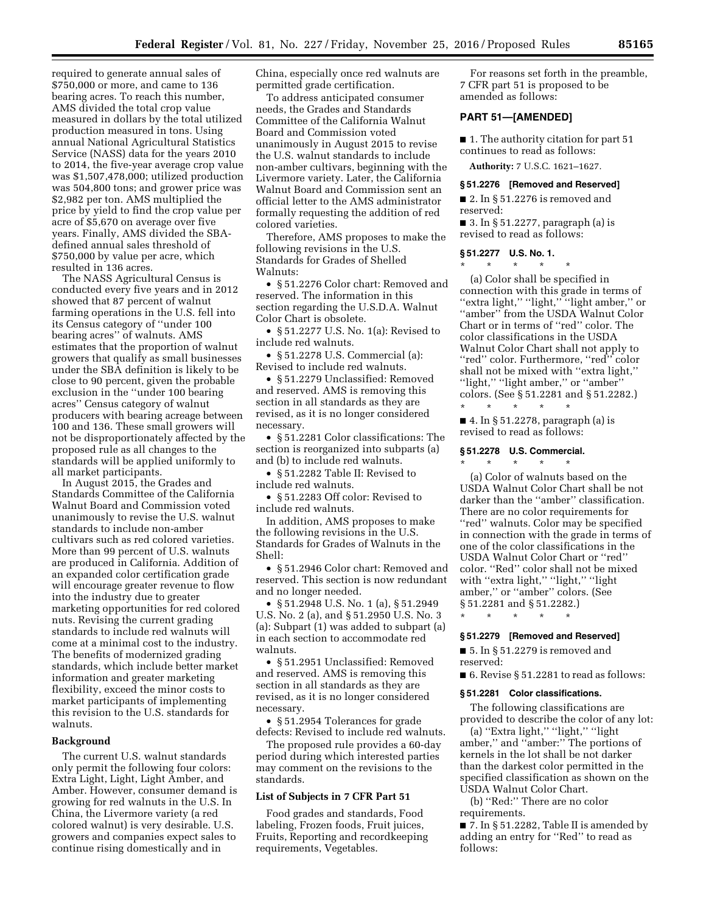required to generate annual sales of \$750,000 or more, and came to 136 bearing acres. To reach this number, AMS divided the total crop value measured in dollars by the total utilized production measured in tons. Using annual National Agricultural Statistics Service (NASS) data for the years 2010 to 2014, the five-year average crop value was \$1,507,478,000; utilized production was 504,800 tons; and grower price was \$2,982 per ton. AMS multiplied the price by yield to find the crop value per acre of \$5,670 on average over five years. Finally, AMS divided the SBAdefined annual sales threshold of \$750,000 by value per acre, which resulted in 136 acres.

The NASS Agricultural Census is conducted every five years and in 2012 showed that 87 percent of walnut farming operations in the U.S. fell into its Census category of ''under 100 bearing acres'' of walnuts. AMS estimates that the proportion of walnut growers that qualify as small businesses under the SBA definition is likely to be close to 90 percent, given the probable exclusion in the ''under 100 bearing acres'' Census category of walnut producers with bearing acreage between 100 and 136. These small growers will not be disproportionately affected by the proposed rule as all changes to the standards will be applied uniformly to all market participants.

In August 2015, the Grades and Standards Committee of the California Walnut Board and Commission voted unanimously to revise the U.S. walnut standards to include non-amber cultivars such as red colored varieties. More than 99 percent of U.S. walnuts are produced in California. Addition of an expanded color certification grade will encourage greater revenue to flow into the industry due to greater marketing opportunities for red colored nuts. Revising the current grading standards to include red walnuts will come at a minimal cost to the industry. The benefits of modernized grading standards, which include better market information and greater marketing flexibility, exceed the minor costs to market participants of implementing this revision to the U.S. standards for walnuts.

## **Background**

The current U.S. walnut standards only permit the following four colors: Extra Light, Light, Light Amber, and Amber. However, consumer demand is growing for red walnuts in the U.S. In China, the Livermore variety (a red colored walnut) is very desirable. U.S. growers and companies expect sales to continue rising domestically and in

China, especially once red walnuts are permitted grade certification.

To address anticipated consumer needs, the Grades and Standards Committee of the California Walnut Board and Commission voted unanimously in August 2015 to revise the U.S. walnut standards to include non-amber cultivars, beginning with the Livermore variety. Later, the California Walnut Board and Commission sent an official letter to the AMS administrator formally requesting the addition of red colored varieties.

Therefore, AMS proposes to make the following revisions in the U.S. Standards for Grades of Shelled Walnuts:

• § 51.2276 Color chart: Removed and reserved. The information in this section regarding the U.S.D.A. Walnut Color Chart is obsolete.

• § 51.2277 U.S. No. 1(a): Revised to include red walnuts.

• § 51.2278 U.S. Commercial (a): Revised to include red walnuts.

• § 51.2279 Unclassified: Removed and reserved. AMS is removing this section in all standards as they are revised, as it is no longer considered necessary.

• § 51.2281 Color classifications: The section is reorganized into subparts (a) and (b) to include red walnuts.

• § 51.2282 Table II: Revised to include red walnuts.

• § 51.2283 Off color: Revised to include red walnuts.

In addition, AMS proposes to make the following revisions in the U.S. Standards for Grades of Walnuts in the Shell:

• § 51.2946 Color chart: Removed and reserved. This section is now redundant and no longer needed.

• § 51.2948 U.S. No. 1 (a), § 51.2949 U.S. No. 2 (a), and § 51.2950 U.S. No. 3 (a): Subpart (1) was added to subpart (a) in each section to accommodate red walnuts.

• § 51.2951 Unclassified: Removed and reserved. AMS is removing this section in all standards as they are revised, as it is no longer considered necessary.

• § 51.2954 Tolerances for grade defects: Revised to include red walnuts.

The proposed rule provides a 60-day period during which interested parties may comment on the revisions to the standards.

## **List of Subjects in 7 CFR Part 51**

Food grades and standards, Food labeling, Frozen foods, Fruit juices, Fruits, Reporting and recordkeeping requirements, Vegetables.

For reasons set forth in the preamble, 7 CFR part 51 is proposed to be amended as follows:

# **PART 51—[AMENDED]**

■ 1. The authority citation for part 51 continues to read as follows:

**Authority:** 7 U.S.C. 1621–1627.

#### **§ 51.2276 [Removed and Reserved]**

■ 2. In § 51.2276 is removed and reserved:

■ 3. In § 51.2277, paragraph (a) is revised to read as follows:

# **§ 51.2277 U.S. No. 1.**  \* \* \* \* \*

(a) Color shall be specified in connection with this grade in terms of "extra light," "light," "light amber," or ''amber'' from the USDA Walnut Color Chart or in terms of ''red'' color. The color classifications in the USDA Walnut Color Chart shall not apply to "red" color. Furthermore, "red" color shall not be mixed with ''extra light,'' ''light,'' ''light amber,'' or ''amber'' colors. (See § 51.2281 and § 51.2282.) \* \* \* \* \*

■ 4. In § 51.2278, paragraph (a) is revised to read as follows:

# **§ 51.2278 U.S. Commercial.**

\* \* \* \* \* (a) Color of walnuts based on the USDA Walnut Color Chart shall be not darker than the ''amber'' classification. There are no color requirements for ''red'' walnuts. Color may be specified in connection with the grade in terms of one of the color classifications in the USDA Walnut Color Chart or ''red'' color. ''Red'' color shall not be mixed with "extra light," "light," "light amber,'' or ''amber'' colors. (See § 51.2281 and § 51.2282.)

## **§ 51.2279 [Removed and Reserved]**

■ 5. In § 51.2279 is removed and reserved:

■ 6. Revise § 51.2281 to read as follows:

#### **§ 51.2281 Color classifications.**

The following classifications are provided to describe the color of any lot:

(a) ''Extra light,'' ''light,'' ''light amber,'' and ''amber:'' The portions of kernels in the lot shall be not darker than the darkest color permitted in the specified classification as shown on the USDA Walnut Color Chart.

(b) ''Red:'' There are no color requirements.

■ 7. In § 51.2282, Table II is amended by adding an entry for ''Red'' to read as follows:

<sup>\* \* \* \* \*</sup>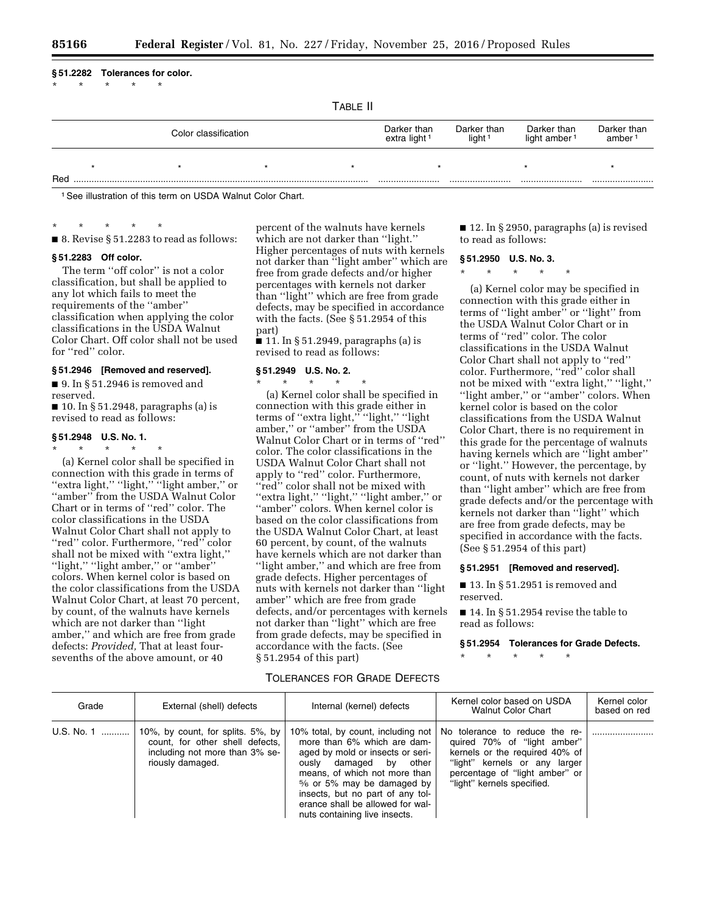**§ 51.2282 Tolerances for color.** 

\* \* \* \* \*

TABLE II

|     | Color classification |  |  | Darker than<br>extra light <sup>1</sup> | Darker than<br>light <sup>1</sup> | Darker than<br>light amber <sup>1</sup> | Darker than<br>amber <sup>1</sup> |  |
|-----|----------------------|--|--|-----------------------------------------|-----------------------------------|-----------------------------------------|-----------------------------------|--|
|     |                      |  |  |                                         |                                   |                                         |                                   |  |
| Rec |                      |  |  |                                         |                                   |                                         |                                   |  |

1See illustration of this term on USDA Walnut Color Chart.

\* \* \* \* \*  $\blacksquare$  8. Revise § 51.2283 to read as follows:

#### **§ 51.2283 Off color.**

The term "off color" is not a color classification, but shall be applied to any lot which fails to meet the requirements of the ''amber'' classification when applying the color classifications in the USDA Walnut Color Chart. Off color shall not be used for "red" color.

# **§ 51.2946 [Removed and reserved].**

■ 9. In § 51.2946 is removed and reserved.

 $\blacksquare$  10. In § 51.2948, paragraphs (a) is revised to read as follows:

# **§ 51.2948 U.S. No. 1.**

\* \* \* \* \*

(a) Kernel color shall be specified in connection with this grade in terms of "extra light," "light," "light amber," or ''amber'' from the USDA Walnut Color Chart or in terms of ''red'' color. The color classifications in the USDA Walnut Color Chart shall not apply to ''red'' color. Furthermore, ''red'' color shall not be mixed with ''extra light,'' ''light,'' ''light amber,'' or ''amber'' colors. When kernel color is based on the color classifications from the USDA Walnut Color Chart, at least 70 percent, by count, of the walnuts have kernels which are not darker than ''light amber,'' and which are free from grade defects: *Provided,* That at least foursevenths of the above amount, or 40

percent of the walnuts have kernels which are not darker than ''light.'' Higher percentages of nuts with kernels not darker than ''light amber'' which are free from grade defects and/or higher percentages with kernels not darker than ''light'' which are free from grade defects, may be specified in accordance with the facts. (See § 51.2954 of this part)

 $\frac{1}{2}$  11. In § 51.2949, paragraphs (a) is revised to read as follows:

#### **§ 51.2949 U.S. No. 2.**  \* \* \* \* \*

(a) Kernel color shall be specified in connection with this grade either in terms of ''extra light,'' ''light,'' ''light amber,'' or ''amber'' from the USDA Walnut Color Chart or in terms of ''red'' color. The color classifications in the USDA Walnut Color Chart shall not apply to "red" color. Furthermore, ''red'' color shall not be mixed with ''extra light,'' ''light,'' ''light amber,'' or ''amber'' colors. When kernel color is based on the color classifications from the USDA Walnut Color Chart, at least 60 percent, by count, of the walnuts have kernels which are not darker than ''light amber,'' and which are free from grade defects. Higher percentages of nuts with kernels not darker than ''light amber'' which are free from grade defects, and/or percentages with kernels not darker than ''light'' which are free from grade defects, may be specified in accordance with the facts. (See § 51.2954 of this part)

■ 12. In § 2950, paragraphs (a) is revised to read as follows:

# **§ 51.2950 U.S. No. 3.**

\* \* \* \* \*

(a) Kernel color may be specified in connection with this grade either in terms of ''light amber'' or ''light'' from the USDA Walnut Color Chart or in terms of ''red'' color. The color classifications in the USDA Walnut Color Chart shall not apply to ''red'' color. Furthermore, ''red'' color shall not be mixed with ''extra light,'' ''light,'' "light amber," or "amber" colors. When kernel color is based on the color classifications from the USDA Walnut Color Chart, there is no requirement in this grade for the percentage of walnuts having kernels which are "light amber" or ''light.'' However, the percentage, by count, of nuts with kernels not darker than ''light amber'' which are free from grade defects and/or the percentage with kernels not darker than ''light'' which are free from grade defects, may be specified in accordance with the facts. (See § 51.2954 of this part)

## **§ 51.2951 [Removed and reserved].**

■ 13. In § 51.2951 is removed and reserved.

■ 14. In § 51.2954 revise the table to read as follows:

#### **§ 51.2954 Tolerances for Grade Defects.**

\* \* \* \* \*

# TOLERANCES FOR GRADE DEFECTS

| Grade      | External (shell) defects                                                                                                   | Internal (kernel) defects                                                                                                                                                                                                                                                                              | Kernel color based on USDA<br><b>Walnut Color Chart</b>                                                                                                                                          | Kernel color<br>based on red |
|------------|----------------------------------------------------------------------------------------------------------------------------|--------------------------------------------------------------------------------------------------------------------------------------------------------------------------------------------------------------------------------------------------------------------------------------------------------|--------------------------------------------------------------------------------------------------------------------------------------------------------------------------------------------------|------------------------------|
| U.S. No. 1 | 10%, by count, for splits. 5%, by<br>count, for other shell defects,<br>including not more than 3% se-<br>riously damaged. | 10% total, by count, including not<br>more than 6% which are dam-<br>aged by mold or insects or seri-<br>ously damaged by other<br>means, of which not more than<br>% or 5% may be damaged by<br>insects, but no part of any tol-<br>erance shall be allowed for wal-<br>nuts containing live insects. | No tolerance to reduce the re-<br>quired 70% of "light amber"<br>kernels or the required 40% of<br>"light" kernels or any larger<br>percentage of "light amber" or<br>"light" kernels specified. |                              |